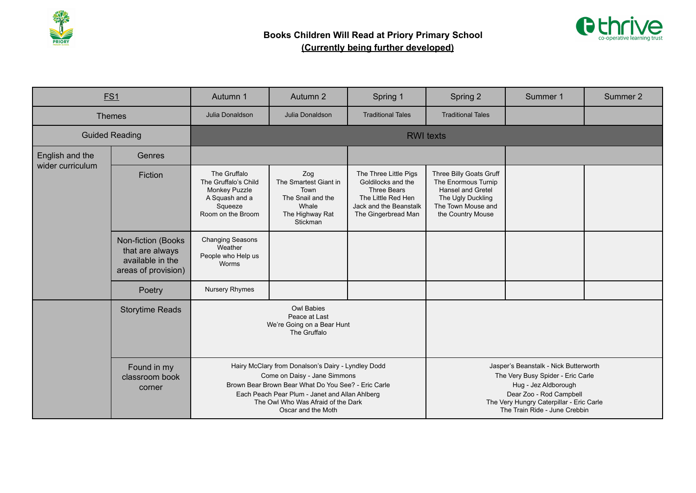



|                  | <b>ES1</b>                                                                        | Autumn 1                                                                                                                                                                                                                                                | Autumn 2                                                                                          | Spring 1                                                                                                                                 | Spring 2                                                                                                                                                                                                   | Summer 1 | Summer 2 |
|------------------|-----------------------------------------------------------------------------------|---------------------------------------------------------------------------------------------------------------------------------------------------------------------------------------------------------------------------------------------------------|---------------------------------------------------------------------------------------------------|------------------------------------------------------------------------------------------------------------------------------------------|------------------------------------------------------------------------------------------------------------------------------------------------------------------------------------------------------------|----------|----------|
|                  | <b>Themes</b>                                                                     | Julia Donaldson                                                                                                                                                                                                                                         | Julia Donaldson                                                                                   | <b>Traditional Tales</b>                                                                                                                 | <b>Traditional Tales</b>                                                                                                                                                                                   |          |          |
|                  | <b>Guided Reading</b>                                                             |                                                                                                                                                                                                                                                         |                                                                                                   |                                                                                                                                          | <b>RWI</b> texts                                                                                                                                                                                           |          |          |
| English and the  | Genres                                                                            |                                                                                                                                                                                                                                                         |                                                                                                   |                                                                                                                                          |                                                                                                                                                                                                            |          |          |
| wider curriculum | Fiction                                                                           | The Gruffalo<br>The Gruffalo's Child<br><b>Monkey Puzzle</b><br>A Squash and a<br>Squeeze<br>Room on the Broom                                                                                                                                          | Zog<br>The Smartest Giant in<br>Town<br>The Snail and the<br>Whale<br>The Highway Rat<br>Stickman | The Three Little Pigs<br>Goldilocks and the<br><b>Three Bears</b><br>The Little Red Hen<br>Jack and the Beanstalk<br>The Gingerbread Man | Three Billy Goats Gruff<br>The Enormous Turnip<br><b>Hansel and Gretel</b><br>The Ugly Duckling<br>The Town Mouse and<br>the Country Mouse                                                                 |          |          |
|                  | Non-fiction (Books)<br>that are always<br>available in the<br>areas of provision) | <b>Changing Seasons</b><br>Weather<br>People who Help us<br>Worms                                                                                                                                                                                       |                                                                                                   |                                                                                                                                          |                                                                                                                                                                                                            |          |          |
|                  | Poetry                                                                            | Nursery Rhymes                                                                                                                                                                                                                                          |                                                                                                   |                                                                                                                                          |                                                                                                                                                                                                            |          |          |
|                  | <b>Storytime Reads</b>                                                            |                                                                                                                                                                                                                                                         | <b>Owl Babies</b><br>Peace at Last<br>We're Going on a Bear Hunt<br>The Gruffalo                  |                                                                                                                                          |                                                                                                                                                                                                            |          |          |
|                  | Found in my<br>classroom book<br>corner                                           | Hairy McClary from Donalson's Dairy - Lyndley Dodd<br>Come on Daisy - Jane Simmons<br>Brown Bear Brown Bear What Do You See? - Eric Carle<br>Each Peach Pear Plum - Janet and Allan Ahlberg<br>The Owl Who Was Afraid of the Dark<br>Oscar and the Moth |                                                                                                   |                                                                                                                                          | Jasper's Beanstalk - Nick Butterworth<br>The Very Busy Spider - Eric Carle<br>Hug - Jez Aldborough<br>Dear Zoo - Rod Campbell<br>The Very Hungry Caterpillar - Eric Carle<br>The Train Ride - June Crebbin |          |          |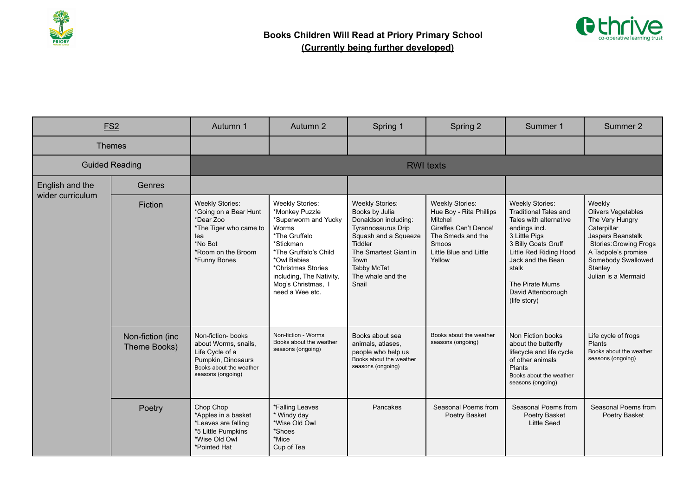



|                       | ES <sub>2</sub>                  | Autumn 1                                                                                                                                       | Autumn 2                                                                                                                                                                                                                                   | Spring 1                                                                                                                                                                                                              | Spring 2                                                                                                                                                       | Summer 1                                                                                                                                                                                                                                                   | Summer 2                                                                                                                                                                                                   |
|-----------------------|----------------------------------|------------------------------------------------------------------------------------------------------------------------------------------------|--------------------------------------------------------------------------------------------------------------------------------------------------------------------------------------------------------------------------------------------|-----------------------------------------------------------------------------------------------------------------------------------------------------------------------------------------------------------------------|----------------------------------------------------------------------------------------------------------------------------------------------------------------|------------------------------------------------------------------------------------------------------------------------------------------------------------------------------------------------------------------------------------------------------------|------------------------------------------------------------------------------------------------------------------------------------------------------------------------------------------------------------|
| <b>Themes</b>         |                                  |                                                                                                                                                |                                                                                                                                                                                                                                            |                                                                                                                                                                                                                       |                                                                                                                                                                |                                                                                                                                                                                                                                                            |                                                                                                                                                                                                            |
| <b>Guided Reading</b> |                                  |                                                                                                                                                |                                                                                                                                                                                                                                            |                                                                                                                                                                                                                       | <b>RWI</b> texts                                                                                                                                               |                                                                                                                                                                                                                                                            |                                                                                                                                                                                                            |
| English and the       | Genres                           |                                                                                                                                                |                                                                                                                                                                                                                                            |                                                                                                                                                                                                                       |                                                                                                                                                                |                                                                                                                                                                                                                                                            |                                                                                                                                                                                                            |
| wider curriculum      | Fiction                          | <b>Weekly Stories:</b><br>*Going on a Bear Hunt<br>*Dear Zoo<br>*The Tiger who came to<br>tea<br>*No Bot<br>*Room on the Broom<br>*Funny Bones | <b>Weekly Stories:</b><br>*Monkey Puzzle<br>*Superworm and Yucky<br>Worms<br>*The Gruffalo<br>*Stickman<br>*The Gruffalo's Child<br>*Owl Babies<br>*Christmas Stories<br>including, The Nativity,<br>Mog's Christmas, I<br>need a Wee etc. | <b>Weekly Stories:</b><br>Books by Julia<br>Donaldson including:<br><b>Tyrannosaurus Drip</b><br>Squash and a Squeeze<br>Tiddler<br>The Smartest Giant in<br>Town<br><b>Tabby McTat</b><br>The whale and the<br>Snail | <b>Weekly Stories:</b><br>Hue Boy - Rita Phillips<br>Mitchel<br><b>Giraffes Can't Dance!</b><br>The Smeds and the<br>Smoos<br>Little Blue and Little<br>Yellow | <b>Weekly Stories:</b><br><b>Traditional Tales and</b><br>Tales with alternative<br>endings incl.<br>3 Little Pigs<br>3 Billy Goats Gruff<br>Little Red Riding Hood<br>Jack and the Bean<br>stalk<br>The Pirate Mums<br>David Attenborough<br>(life story) | Weekly<br><b>Olivers Vegetables</b><br>The Very Hungry<br>Caterpillar<br>Jaspers Beanstalk<br><b>Stories: Growing Frogs</b><br>A Tadpole's promise<br>Somebody Swallowed<br>Stanley<br>Julian is a Mermaid |
|                       | Non-fiction (inc<br>Theme Books) | Non-fiction- books<br>about Worms, snails,<br>Life Cycle of a<br>Pumpkin, Dinosaurs<br>Books about the weather<br>seasons (ongoing)            | Non-fiction - Worms<br>Books about the weather<br>seasons (ongoing)                                                                                                                                                                        | Books about sea<br>animals, atlases,<br>people who help us<br>Books about the weather<br>seasons (ongoing)                                                                                                            | Books about the weather<br>seasons (ongoing)                                                                                                                   | Non Fiction books<br>about the butterfly<br>lifecycle and life cycle<br>of other animals<br>Plants<br>Books about the weather<br>seasons (ongoing)                                                                                                         | Life cycle of frogs<br>Plants<br>Books about the weather<br>seasons (ongoing)                                                                                                                              |
|                       | Poetry                           | Chop Chop<br>*Apples in a basket<br>*Leaves are falling<br>*5 Little Pumpkins<br>*Wise Old Owl<br>*Pointed Hat                                 | *Falling Leaves<br>* Windy day<br>*Wise Old Owl<br>*Shoes<br>*Mice<br>Cup of Tea                                                                                                                                                           | Pancakes                                                                                                                                                                                                              | Seasonal Poems from<br>Poetry Basket                                                                                                                           | Seasonal Poems from<br>Poetry Basket<br><b>Little Seed</b>                                                                                                                                                                                                 | Seasonal Poems from<br>Poetry Basket                                                                                                                                                                       |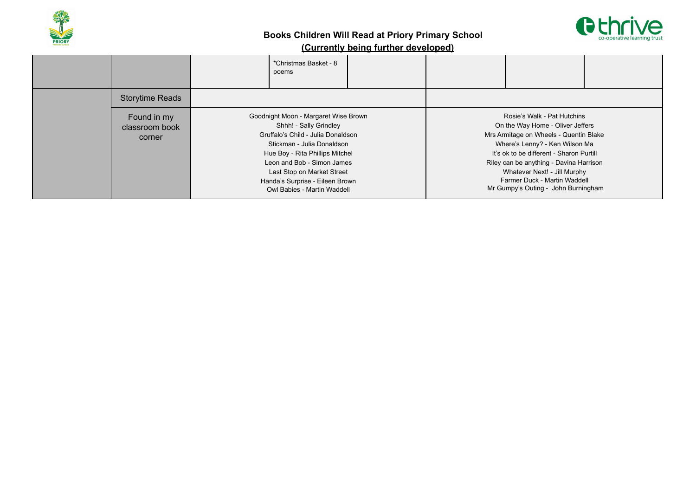



|                                         | *Christmas Basket - 8<br>poems                                                                                                                                                                                                                                                                      |  |                                                                                                                                                                                                                                                                                                                                           |  |
|-----------------------------------------|-----------------------------------------------------------------------------------------------------------------------------------------------------------------------------------------------------------------------------------------------------------------------------------------------------|--|-------------------------------------------------------------------------------------------------------------------------------------------------------------------------------------------------------------------------------------------------------------------------------------------------------------------------------------------|--|
| <b>Storytime Reads</b>                  |                                                                                                                                                                                                                                                                                                     |  |                                                                                                                                                                                                                                                                                                                                           |  |
| Found in my<br>classroom book<br>corner | Goodnight Moon - Margaret Wise Brown<br>Shhh! - Sally Grindley<br>Gruffalo's Child - Julia Donaldson<br>Stickman - Julia Donaldson<br>Hue Boy - Rita Phillips Mitchel<br>Leon and Bob - Simon James<br>Last Stop on Market Street<br>Handa's Surprise - Eileen Brown<br>Owl Babies - Martin Waddell |  | Rosie's Walk - Pat Hutchins<br>On the Way Home - Oliver Jeffers<br>Mrs Armitage on Wheels - Quentin Blake<br>Where's Lenny? - Ken Wilson Ma<br>It's ok to be different - Sharon Purtill<br>Riley can be anything - Davina Harrison<br>Whatever Next! - Jill Murphy<br>Farmer Duck - Martin Waddell<br>Mr Gumpy's Outing - John Burningham |  |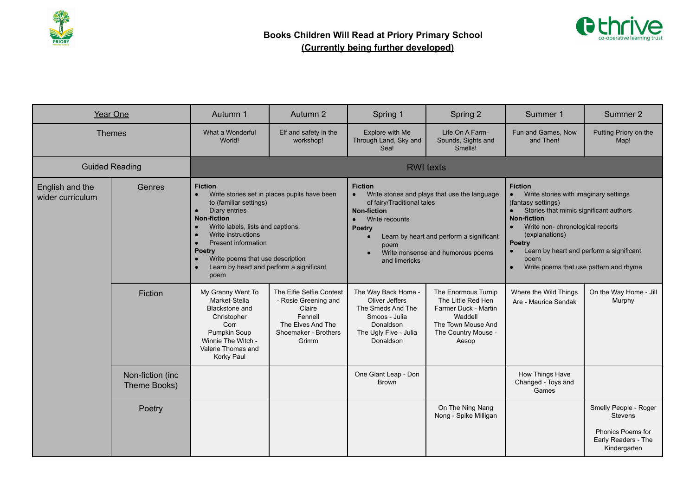



|                                     | Year One                                                                                                                                                                                                                                                                                                                                                                                              | Autumn 1                                                                                                                                              | Autumn 2                                                                                                                    | Spring 1                                                                                                                                                                                                                                                                            | Spring 2                                                                                                                           | Summer 1                                                                                                                                                                                                                                                                                                                 | Summer 2                                                                                            |  |  |
|-------------------------------------|-------------------------------------------------------------------------------------------------------------------------------------------------------------------------------------------------------------------------------------------------------------------------------------------------------------------------------------------------------------------------------------------------------|-------------------------------------------------------------------------------------------------------------------------------------------------------|-----------------------------------------------------------------------------------------------------------------------------|-------------------------------------------------------------------------------------------------------------------------------------------------------------------------------------------------------------------------------------------------------------------------------------|------------------------------------------------------------------------------------------------------------------------------------|--------------------------------------------------------------------------------------------------------------------------------------------------------------------------------------------------------------------------------------------------------------------------------------------------------------------------|-----------------------------------------------------------------------------------------------------|--|--|
| <b>Themes</b>                       |                                                                                                                                                                                                                                                                                                                                                                                                       | What a Wonderful<br>World!                                                                                                                            | Elf and safety in the<br>workshop!                                                                                          | Explore with Me<br>Through Land, Sky and<br>Sea!                                                                                                                                                                                                                                    | Life On A Farm-<br>Sounds, Sights and<br>Smells!                                                                                   | Fun and Games, Now<br>and Then!                                                                                                                                                                                                                                                                                          | Putting Priory on the<br>Map!                                                                       |  |  |
| <b>Guided Reading</b>               |                                                                                                                                                                                                                                                                                                                                                                                                       | <b>RWI</b> texts                                                                                                                                      |                                                                                                                             |                                                                                                                                                                                                                                                                                     |                                                                                                                                    |                                                                                                                                                                                                                                                                                                                          |                                                                                                     |  |  |
| English and the<br>wider curriculum | <b>Fiction</b><br>Genres<br>Write stories set in places pupils have been<br>$\bullet$<br>to (familiar settings)<br>Diary entries<br>$\bullet$<br><b>Non-fiction</b><br>Write labels, lists and captions.<br>$\bullet$<br>Write instructions<br>$\bullet$<br>Present information<br><b>Poetry</b><br>Write poems that use description<br>$\bullet$<br>Learn by heart and perform a significant<br>poem |                                                                                                                                                       |                                                                                                                             | <b>Fiction</b><br>Write stories and plays that use the language<br>$\bullet$<br>of fairy/Traditional tales<br><b>Non-fiction</b><br>Write recounts<br>$\bullet$<br>Poetry<br>Learn by heart and perform a significant<br>poem<br>Write nonsense and humorous poems<br>and limericks |                                                                                                                                    | <b>Fiction</b><br>Write stories with imaginary settings<br>(fantasy settings)<br>Stories that mimic significant authors<br><b>Non-fiction</b><br>Write non- chronological reports<br>(explanations)<br>Poetry<br>Learn by heart and perform a significant<br>poem<br>Write poems that use pattern and rhyme<br>$\bullet$ |                                                                                                     |  |  |
|                                     | Fiction                                                                                                                                                                                                                                                                                                                                                                                               | My Granny Went To<br>Market-Stella<br>Blackstone and<br>Christopher<br>Corr<br>Pumpkin Soup<br>Winnie The Witch -<br>Valerie Thomas and<br>Korky Paul | The Elfie Selfie Contest<br>- Rosie Greening and<br>Claire<br>Fennell<br>The Elves And The<br>Shoemaker - Brothers<br>Grimm | The Way Back Home -<br>Oliver Jeffers<br>The Smeds And The<br>Smoos - Julia<br>Donaldson<br>The Ugly Five - Julia<br>Donaldson                                                                                                                                                      | The Enormous Turnip<br>The Little Red Hen<br>Farmer Duck - Martin<br>Waddell<br>The Town Mouse And<br>The Country Mouse -<br>Aesop | Where the Wild Things<br>Are - Maurice Sendak                                                                                                                                                                                                                                                                            | On the Way Home - Jill<br>Murphy                                                                    |  |  |
|                                     | Non-fiction (inc<br>Theme Books)                                                                                                                                                                                                                                                                                                                                                                      |                                                                                                                                                       |                                                                                                                             | One Giant Leap - Don<br><b>Brown</b>                                                                                                                                                                                                                                                |                                                                                                                                    | How Things Have<br>Changed - Toys and<br>Games                                                                                                                                                                                                                                                                           |                                                                                                     |  |  |
|                                     | Poetry                                                                                                                                                                                                                                                                                                                                                                                                |                                                                                                                                                       |                                                                                                                             |                                                                                                                                                                                                                                                                                     | On The Ning Nang<br>Nong - Spike Milligan                                                                                          |                                                                                                                                                                                                                                                                                                                          | Smelly People - Roger<br><b>Stevens</b><br>Phonics Poems for<br>Early Readers - The<br>Kindergarten |  |  |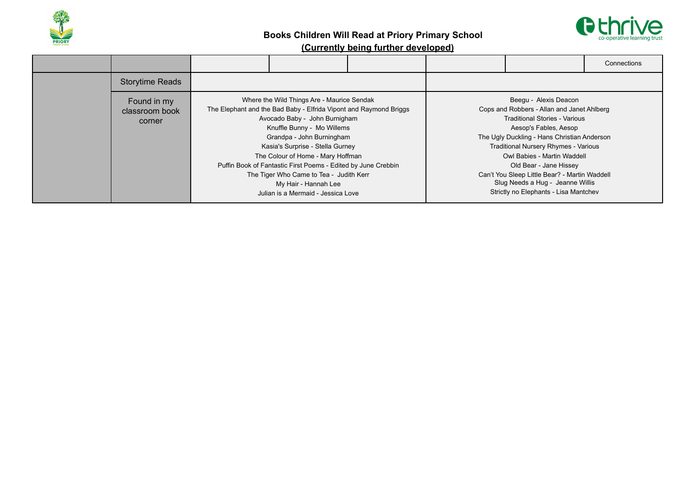



|                                         |                                                                                                                                                                                                                                                                                                                                                                                                                                                                |  |                                                                                                                                                                                                                                                                                                                                                                                                                           | Connections |
|-----------------------------------------|----------------------------------------------------------------------------------------------------------------------------------------------------------------------------------------------------------------------------------------------------------------------------------------------------------------------------------------------------------------------------------------------------------------------------------------------------------------|--|---------------------------------------------------------------------------------------------------------------------------------------------------------------------------------------------------------------------------------------------------------------------------------------------------------------------------------------------------------------------------------------------------------------------------|-------------|
| <b>Storytime Reads</b>                  |                                                                                                                                                                                                                                                                                                                                                                                                                                                                |  |                                                                                                                                                                                                                                                                                                                                                                                                                           |             |
| Found in my<br>classroom book<br>corner | Where the Wild Things Are - Maurice Sendak<br>The Elephant and the Bad Baby - Elfrida Vipont and Raymond Briggs<br>Avocado Baby - John Burnigham<br>Knuffle Bunny - Mo Willems<br>Grandpa - John Burningham<br>Kasia's Surprise - Stella Gurney<br>The Colour of Home - Mary Hoffman<br>Puffin Book of Fantastic First Poems - Edited by June Crebbin<br>The Tiger Who Came to Tea - Judith Kerr<br>My Hair - Hannah Lee<br>Julian is a Mermaid - Jessica Love |  | Beegu - Alexis Deacon<br>Cops and Robbers - Allan and Janet Ahlberg<br><b>Traditional Stories - Various</b><br>Aesop's Fables, Aesop<br>The Ugly Duckling - Hans Christian Anderson<br><b>Traditional Nursery Rhymes - Various</b><br>Owl Babies - Martin Waddell<br>Old Bear - Jane Hissey<br>Can't You Sleep Little Bear? - Martin Waddell<br>Slug Needs a Hug - Jeanne Willis<br>Strictly no Elephants - Lisa Mantchev |             |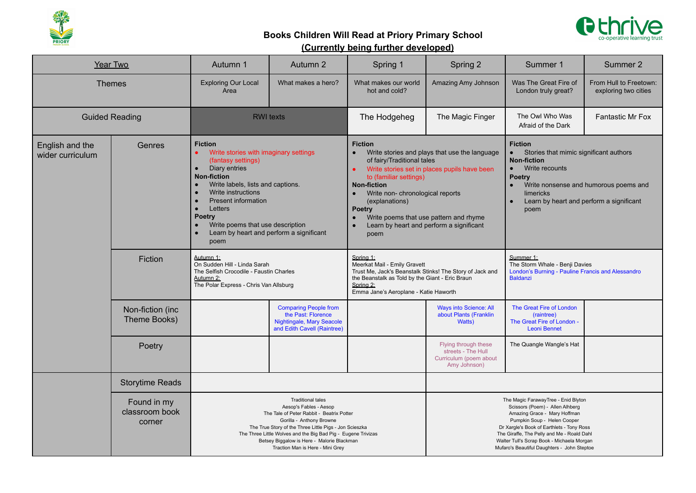



| <b>Year Two</b>                     |                                                                                                                                                        | Autumn 1                                                                                                                                                                                                                                                                                                                                                                              | Autumn 2                                                                                                                                                                                                                                                                                                                                 | Spring 1                                                                                                                                                                                                                                                                                                                                                                 | Spring 2<br>Summer 1                                                                                                                                                                                                                                                                                                          |                                                                                                                                                                                                                                          | Summer 2                                       |
|-------------------------------------|--------------------------------------------------------------------------------------------------------------------------------------------------------|---------------------------------------------------------------------------------------------------------------------------------------------------------------------------------------------------------------------------------------------------------------------------------------------------------------------------------------------------------------------------------------|------------------------------------------------------------------------------------------------------------------------------------------------------------------------------------------------------------------------------------------------------------------------------------------------------------------------------------------|--------------------------------------------------------------------------------------------------------------------------------------------------------------------------------------------------------------------------------------------------------------------------------------------------------------------------------------------------------------------------|-------------------------------------------------------------------------------------------------------------------------------------------------------------------------------------------------------------------------------------------------------------------------------------------------------------------------------|------------------------------------------------------------------------------------------------------------------------------------------------------------------------------------------------------------------------------------------|------------------------------------------------|
| <b>Themes</b>                       |                                                                                                                                                        | <b>Exploring Our Local</b><br>Area                                                                                                                                                                                                                                                                                                                                                    | What makes a hero?                                                                                                                                                                                                                                                                                                                       | What makes our world<br>hot and cold?                                                                                                                                                                                                                                                                                                                                    | Amazing Amy Johnson                                                                                                                                                                                                                                                                                                           | Was The Great Fire of<br>London truly great?                                                                                                                                                                                             | From Hull to Freetown:<br>exploring two cities |
| <b>Guided Reading</b>               |                                                                                                                                                        | <b>RWI</b> texts                                                                                                                                                                                                                                                                                                                                                                      |                                                                                                                                                                                                                                                                                                                                          | The Hodgeheg                                                                                                                                                                                                                                                                                                                                                             | The Magic Finger                                                                                                                                                                                                                                                                                                              | The Owl Who Was<br>Afraid of the Dark                                                                                                                                                                                                    | <b>Fantastic Mr Fox</b>                        |
| English and the<br>wider curriculum | Genres                                                                                                                                                 | <b>Fiction</b><br>Write stories with imaginary settings<br>(fantasy settings)<br>Diary entries<br>$\bullet$<br><b>Non-fiction</b><br>Write labels, lists and captions.<br>$\bullet$<br>Write instructions<br><b>Present information</b><br>$\bullet$<br>Letters<br><b>Poetry</b><br>Write poems that use description<br>Learn by heart and perform a significant<br>$\bullet$<br>poem |                                                                                                                                                                                                                                                                                                                                          | <b>Fiction</b><br>Write stories and plays that use the language<br>of fairy/Traditional tales<br>Write stories set in places pupils have been<br>to (familiar settings)<br><b>Non-fiction</b><br>Write non- chronological reports<br>$\bullet$<br>(explanations)<br>Poetry<br>Write poems that use pattern and rhyme<br>Learn by heart and perform a significant<br>poem |                                                                                                                                                                                                                                                                                                                               | <b>Fiction</b><br>Stories that mimic significant authors<br><b>Non-fiction</b><br>Write recounts<br>$\bullet$<br><b>Poetry</b><br>Write nonsense and humorous poems and<br>limericks<br>Learn by heart and perform a significant<br>poem |                                                |
|                                     | Autumn 1:<br>Fiction<br>On Sudden Hill - Linda Sarah<br>The Selfish Crocodile - Faustin Charles<br>Autumn 2:<br>The Polar Express - Chris Van Allsburg |                                                                                                                                                                                                                                                                                                                                                                                       | Spring 1:<br>Meerkat Mail - Emily Gravett<br>Trust Me, Jack's Beanstalk Stinks! The Story of Jack and<br>the Beanstalk as Told by the Giant - Eric Braun<br>Spring 2:<br>Emma Jane's Aeroplane - Katie Haworth                                                                                                                           |                                                                                                                                                                                                                                                                                                                                                                          | Summer 1:<br>The Storm Whale - Benji Davies<br>London's Burning - Pauline Francis and Alessandro<br><b>Baldanzi</b>                                                                                                                                                                                                           |                                                                                                                                                                                                                                          |                                                |
|                                     | Non-fiction (inc<br>Theme Books)                                                                                                                       |                                                                                                                                                                                                                                                                                                                                                                                       | <b>Comparing People from</b><br>the Past: Florence<br>Nightingale, Mary Seacole<br>and Edith Cavell (Raintree)                                                                                                                                                                                                                           |                                                                                                                                                                                                                                                                                                                                                                          | <b>Ways into Science: All</b><br>about Plants (Franklin<br>Watts)                                                                                                                                                                                                                                                             | The Great Fire of London<br>(raintree)<br>The Great Fire of London -<br><b>Leoni Bennet</b>                                                                                                                                              |                                                |
|                                     | Poetry                                                                                                                                                 |                                                                                                                                                                                                                                                                                                                                                                                       |                                                                                                                                                                                                                                                                                                                                          |                                                                                                                                                                                                                                                                                                                                                                          | Flying through these<br>streets - The Hull<br>Curriculum (poem about<br>Amy Johnson)                                                                                                                                                                                                                                          | The Quangle Wangle's Hat                                                                                                                                                                                                                 |                                                |
|                                     | <b>Storytime Reads</b>                                                                                                                                 |                                                                                                                                                                                                                                                                                                                                                                                       |                                                                                                                                                                                                                                                                                                                                          |                                                                                                                                                                                                                                                                                                                                                                          |                                                                                                                                                                                                                                                                                                                               |                                                                                                                                                                                                                                          |                                                |
|                                     | Found in my<br>classroom book<br>corner                                                                                                                |                                                                                                                                                                                                                                                                                                                                                                                       | <b>Traditional tales</b><br>Aesop's Fables - Aesop<br>The Tale of Peter Rabbit - Beatrix Potter<br>Gorilla - Anthony Browne<br>The True Story of the Three Little Pigs - Jon Scieszka<br>The Three Little Wolves and the Big Bad Pig - Eugene Trivizas<br>Betsey Biggalow is Here - Malorie Blackman<br>Traction Man is Here - Mini Grey |                                                                                                                                                                                                                                                                                                                                                                          | The Magic FarawayTree - Enid Blyton<br>Scissors (Poem) - Allen Alhberg<br>Amazing Grace - Mary Hoffman<br>Pumpkin Soup - Helen Cooper<br>Dr Xargle's Book of Earthlets - Tony Ross<br>The Giraffe, The Pelly and Me - Roald Dahl<br>Walter Tull's Scrap Book - Michaela Morgan<br>Mufaro's Beautiful Daughters - John Steptoe |                                                                                                                                                                                                                                          |                                                |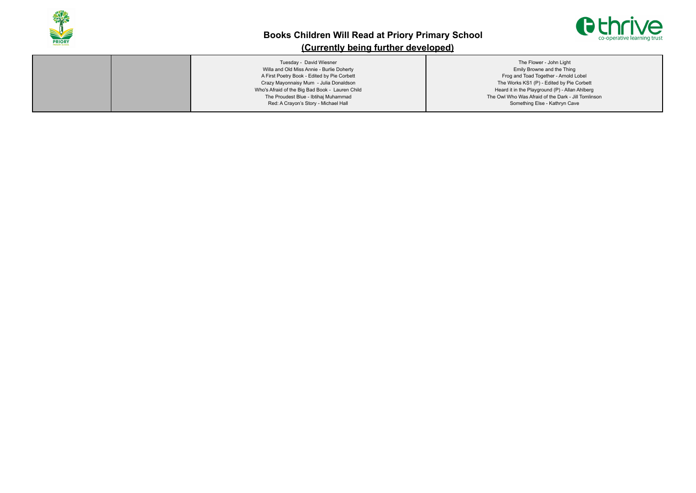

# **Books Children Will Read at Priory Primary School**



## **(Currently being further developed)**

| Tuesday - David Wiesner                         | The Flower - John Light                             |
|-------------------------------------------------|-----------------------------------------------------|
| Willa and Old Miss Annie - Burlie Doherty       | Emily Browne and the Thing                          |
| A First Poetry Book - Edited by Pie Corbett     | Frog and Toad Together - Arnold Lobel               |
| Crazy Mayonnaisy Mum - Julia Donaldson          | The Works KS1 (P) - Edited by Pie Corbett           |
| Who's Afraid of the Big Bad Book - Lauren Child | Heard it in the Playground (P) - Allan Ahlberg      |
| The Proudest Blue - Ibtihaj Muhammad            | The Owl Who Was Afraid of the Dark - Jill Tomlinson |
| Red: A Crayon's Story - Michael Hall            | Something Else - Kathryn Cave                       |
|                                                 |                                                     |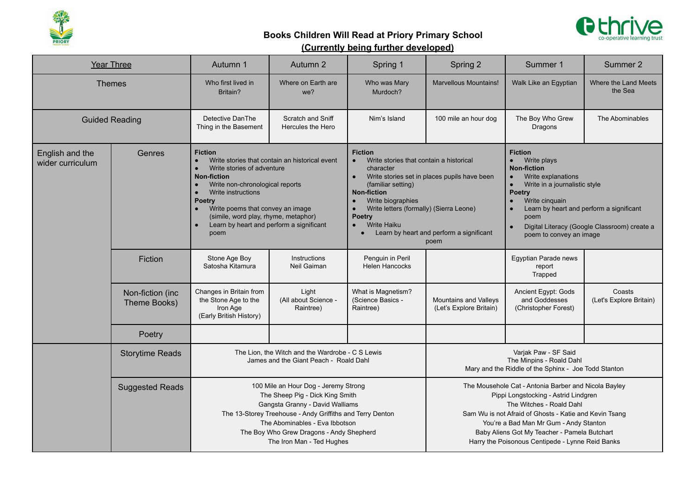



|                                     | <b>Year Three</b>                                          | Autumn 1                                                                                                                                                                                                                                                                           | Autumn 2                                                                                                                                                                                                                                                                                                                       | Spring 1                                             | Spring 2                                                                                                                                                                                                                                                                                                                                                                   | Summer 1                                                     | Summer 2                                                                                                                                                                                                                                                                     |  |
|-------------------------------------|------------------------------------------------------------|------------------------------------------------------------------------------------------------------------------------------------------------------------------------------------------------------------------------------------------------------------------------------------|--------------------------------------------------------------------------------------------------------------------------------------------------------------------------------------------------------------------------------------------------------------------------------------------------------------------------------|------------------------------------------------------|----------------------------------------------------------------------------------------------------------------------------------------------------------------------------------------------------------------------------------------------------------------------------------------------------------------------------------------------------------------------------|--------------------------------------------------------------|------------------------------------------------------------------------------------------------------------------------------------------------------------------------------------------------------------------------------------------------------------------------------|--|
| <b>Themes</b>                       |                                                            | Who first lived in<br>Britain?                                                                                                                                                                                                                                                     | Where on Earth are<br>we?                                                                                                                                                                                                                                                                                                      | Who was Mary<br>Murdoch?                             | <b>Marvellous Mountains!</b>                                                                                                                                                                                                                                                                                                                                               | Walk Like an Egyptian                                        | Where the Land Meets<br>the Sea                                                                                                                                                                                                                                              |  |
| <b>Guided Reading</b>               |                                                            | Detective DanThe<br>Thing in the Basement                                                                                                                                                                                                                                          | Scratch and Sniff<br>Hercules the Hero                                                                                                                                                                                                                                                                                         | Nim's Island                                         | 100 mile an hour dog                                                                                                                                                                                                                                                                                                                                                       | The Boy Who Grew<br>Dragons                                  | The Abominables                                                                                                                                                                                                                                                              |  |
| English and the<br>wider curriculum | Genres<br>$\bullet$<br>$\bullet$<br>$\bullet$<br>$\bullet$ |                                                                                                                                                                                                                                                                                    | <b>Fiction</b><br>Write stories that contain an historical event<br>Write stories of adventure<br><b>Non-fiction</b><br>Write non-chronological reports<br>Write instructions<br><b>Poetry</b><br>Write poems that convey an image<br>(simile, word play, rhyme, metaphor)<br>Learn by heart and perform a significant<br>poem |                                                      | <b>Fiction</b><br>Write stories that contain a historical<br>$\bullet$<br>character<br>Write stories set in places pupils have been<br>$\bullet$<br>(familiar setting)<br><b>Non-fiction</b><br>Write biographies<br>$\bullet$<br>Write letters (formally) (Sierra Leone)<br>Poetry<br><b>Write Haiku</b><br>Learn by heart and perform a significant<br>$\bullet$<br>poem |                                                              | <b>Fiction</b><br>Write plays<br><b>Non-fiction</b><br>Write explanations<br>Write in a journalistic style<br><b>Poetry</b><br>Write cinquain<br>Learn by heart and perform a significant<br>poem<br>Digital Literacy (Google Classroom) create a<br>poem to convey an image |  |
|                                     | Fiction                                                    | Stone Age Boy<br>Satosha Kitamura                                                                                                                                                                                                                                                  | Instructions<br>Neil Gaiman                                                                                                                                                                                                                                                                                                    | Penguin in Peril<br><b>Helen Hancocks</b>            |                                                                                                                                                                                                                                                                                                                                                                            | Egyptian Parade news<br>report<br>Trapped                    |                                                                                                                                                                                                                                                                              |  |
|                                     | Non-fiction (inc<br>Theme Books)                           | Changes in Britain from<br>the Stone Age to the<br>Iron Age<br>(Early British History)                                                                                                                                                                                             | Light<br>(All about Science -<br>Raintree)                                                                                                                                                                                                                                                                                     | What is Magnetism?<br>(Science Basics -<br>Raintree) | Mountains and Valleys<br>(Let's Explore Britain)                                                                                                                                                                                                                                                                                                                           | Ancient Egypt: Gods<br>and Goddesses<br>(Christopher Forest) | Coasts<br>(Let's Explore Britain)                                                                                                                                                                                                                                            |  |
|                                     | Poetry                                                     |                                                                                                                                                                                                                                                                                    |                                                                                                                                                                                                                                                                                                                                |                                                      |                                                                                                                                                                                                                                                                                                                                                                            |                                                              |                                                                                                                                                                                                                                                                              |  |
|                                     | <b>Storytime Reads</b>                                     |                                                                                                                                                                                                                                                                                    | The Lion, the Witch and the Wardrobe - C S Lewis<br>James and the Giant Peach - Roald Dahl                                                                                                                                                                                                                                     |                                                      | Varjak Paw - SF Said<br>The Minpins - Roald Dahl<br>Mary and the Riddle of the Sphinx - Joe Todd Stanton                                                                                                                                                                                                                                                                   |                                                              |                                                                                                                                                                                                                                                                              |  |
|                                     | <b>Suggested Reads</b>                                     | 100 Mile an Hour Dog - Jeremy Strong<br>The Sheep Pig - Dick King Smith<br>Gangsta Granny - David Walliams<br>The 13-Storey Treehouse - Andy Griffiths and Terry Denton<br>The Abominables - Eva Ibbotson<br>The Boy Who Grew Dragons - Andy Shepherd<br>The Iron Man - Ted Hughes |                                                                                                                                                                                                                                                                                                                                |                                                      | The Mousehole Cat - Antonia Barber and Nicola Bayley<br>Pippi Longstocking - Astrid Lindgren<br>The Witches - Roald Dahl<br>Sam Wu is not Afraid of Ghosts - Katie and Kevin Tsang<br>You're a Bad Man Mr Gum - Andy Stanton<br>Baby Aliens Got My Teacher - Pamela Butchart<br>Harry the Poisonous Centipede - Lynne Reid Banks                                           |                                                              |                                                                                                                                                                                                                                                                              |  |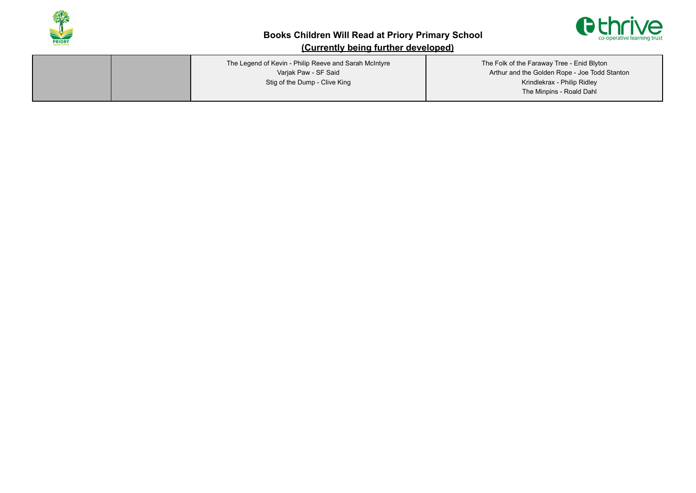



| The Legend of Kevin - Philip Reeve and Sarah McIntyre<br>Varjak Paw - SF Said<br>Stig of the Dump - Clive King | The Folk of the Faraway Tree - Enid Blyton<br>Arthur and the Golden Rope - Joe Todd Stanton<br>Krindlekrax - Philip Ridley<br>The Minpins - Roald Dahl |
|----------------------------------------------------------------------------------------------------------------|--------------------------------------------------------------------------------------------------------------------------------------------------------|
|                                                                                                                |                                                                                                                                                        |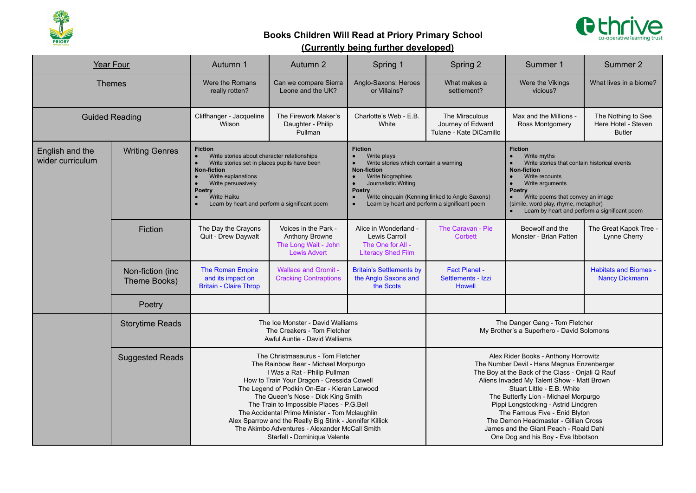



|                                     | Year Four                                                                                                                                                                                                                                                                                                                                                                                                                                                                                                                                                                                                                                                     | Autumn 1                                                               | Autumn 2                                                                                                                                                                                                                                                                                                                                                                                                                                                                                  | Spring 1                                                                                        | Spring 2<br>Summer 1                                                                                                                                                                                                                                                                                                                                                                                                                                         |                                                                             | Summer 2                                                   |
|-------------------------------------|---------------------------------------------------------------------------------------------------------------------------------------------------------------------------------------------------------------------------------------------------------------------------------------------------------------------------------------------------------------------------------------------------------------------------------------------------------------------------------------------------------------------------------------------------------------------------------------------------------------------------------------------------------------|------------------------------------------------------------------------|-------------------------------------------------------------------------------------------------------------------------------------------------------------------------------------------------------------------------------------------------------------------------------------------------------------------------------------------------------------------------------------------------------------------------------------------------------------------------------------------|-------------------------------------------------------------------------------------------------|--------------------------------------------------------------------------------------------------------------------------------------------------------------------------------------------------------------------------------------------------------------------------------------------------------------------------------------------------------------------------------------------------------------------------------------------------------------|-----------------------------------------------------------------------------|------------------------------------------------------------|
| <b>Themes</b>                       |                                                                                                                                                                                                                                                                                                                                                                                                                                                                                                                                                                                                                                                               | Were the Romans<br>really rotten?                                      | Can we compare Sierra<br>Leone and the UK?                                                                                                                                                                                                                                                                                                                                                                                                                                                | Anglo-Saxons: Heroes<br>or Villains?                                                            | What makes a<br>settlement?                                                                                                                                                                                                                                                                                                                                                                                                                                  | Were the Vikings<br>vicious?                                                | What lives in a biome?                                     |
| <b>Guided Reading</b>               |                                                                                                                                                                                                                                                                                                                                                                                                                                                                                                                                                                                                                                                               | Cliffhanger - Jacqueline<br>Wilson                                     | The Firework Maker's<br>Daughter - Philip<br>Pullman                                                                                                                                                                                                                                                                                                                                                                                                                                      | Charlotte's Web - E.B.<br>White                                                                 | The Miraculous<br>Journey of Edward<br>Tulane - Kate DiCamillo                                                                                                                                                                                                                                                                                                                                                                                               | Max and the Millions -<br>Ross Montgomery                                   | The Nothing to See<br>Here Hotel - Steven<br><b>Butler</b> |
| English and the<br>wider curriculum | <b>Fiction</b><br><b>Fiction</b><br><b>Writing Genres</b><br>Write plays<br>Write stories about character relationships<br>$\bullet$<br>Write stories which contain a warning<br>Write stories set in places pupils have been<br><b>Non-fiction</b><br><b>Non-fiction</b><br>Write explanations<br>Write biographies<br>$\bullet$<br>$\bullet$<br>Journalistic Writing<br>Write persuasively<br>$\bullet$<br><b>Poetry</b><br><b>Poetry</b><br><b>Write Haiku</b><br>Write cinquain (Kenning linked to Anglo Saxons)<br>$\bullet$<br>$\bullet$<br>Learn by heart and perform a significant poem<br>Learn by heart and perform a significant poem<br>$\bullet$ |                                                                        |                                                                                                                                                                                                                                                                                                                                                                                                                                                                                           |                                                                                                 | <b>Fiction</b><br>Write myths<br>Write stories that contain historical events<br><b>Non-fiction</b><br>Write recounts<br>Write arguments<br><b>Poetry</b><br>Write poems that convey an image<br>$\bullet$<br>(simile, word play, rhyme, metaphor)<br>Learn by heart and perform a significant poem                                                                                                                                                          |                                                                             |                                                            |
|                                     | Fiction                                                                                                                                                                                                                                                                                                                                                                                                                                                                                                                                                                                                                                                       | The Day the Crayons<br>Quit - Drew Daywalt                             | Voices in the Park -<br>Anthony Browne<br>The Long Wait - John<br><b>Lewis Advert</b>                                                                                                                                                                                                                                                                                                                                                                                                     | Alice in Wonderland -<br><b>Lewis Carroll</b><br>The One for All -<br><b>Literacy Shed Film</b> | The Caravan - Pie<br><b>Corbett</b>                                                                                                                                                                                                                                                                                                                                                                                                                          | Beowolf and the<br>Monster - Brian Patten                                   | The Great Kapok Tree -<br>Lynne Cherry                     |
|                                     | Non-fiction (inc<br>Theme Books)                                                                                                                                                                                                                                                                                                                                                                                                                                                                                                                                                                                                                              | The Roman Empire<br>and its impact on<br><b>Britain - Claire Throp</b> | <b>Wallace and Gromit -</b><br><b>Cracking Contraptions</b>                                                                                                                                                                                                                                                                                                                                                                                                                               | <b>Britain's Settlements by</b><br>the Anglo Saxons and<br>the Scots                            | Fact Planet -<br>Settlements - Izzi<br><b>Howell</b>                                                                                                                                                                                                                                                                                                                                                                                                         |                                                                             | <b>Habitats and Biomes -</b><br><b>Nancy Dickmann</b>      |
|                                     | Poetry                                                                                                                                                                                                                                                                                                                                                                                                                                                                                                                                                                                                                                                        |                                                                        |                                                                                                                                                                                                                                                                                                                                                                                                                                                                                           |                                                                                                 |                                                                                                                                                                                                                                                                                                                                                                                                                                                              |                                                                             |                                                            |
|                                     | <b>Storytime Reads</b>                                                                                                                                                                                                                                                                                                                                                                                                                                                                                                                                                                                                                                        |                                                                        | The Ice Monster - David Walliams<br>The Creakers - Tom Fletcher<br>Awful Auntie - David Walliams                                                                                                                                                                                                                                                                                                                                                                                          |                                                                                                 |                                                                                                                                                                                                                                                                                                                                                                                                                                                              | The Danger Gang - Tom Fletcher<br>My Brother's a Superhero - David Solomons |                                                            |
|                                     | <b>Suggested Reads</b>                                                                                                                                                                                                                                                                                                                                                                                                                                                                                                                                                                                                                                        |                                                                        | The Christmasaurus - Tom Fletcher<br>The Rainbow Bear - Michael Morpurgo<br>I Was a Rat - Philip Pullman<br>How to Train Your Dragon - Cressida Cowell<br>The Legend of Podkin On-Ear - Kieran Larwood<br>The Queen's Nose - Dick King Smith<br>The Train to Impossible Places - P.G.Bell<br>The Accidental Prime Minister - Tom Mclaughlin<br>Alex Sparrow and the Really Big Stink - Jennifer Killick<br>The Akimbo Adventures - Alexander McCall Smith<br>Starfell - Dominique Valente |                                                                                                 | Alex Rider Books - Anthony Horrowitz<br>The Number Devil - Hans Magnus Enzenberger<br>The Boy at the Back of the Class - Onjali Q Rauf<br>Aliens Invaded My Talent Show - Matt Brown<br>Stuart Little - E.B. White<br>The Butterfly Lion - Michael Morpurgo<br>Pippi Longstocking - Astrid Lindgren<br>The Famous Five - Enid Blyton<br>The Demon Headmaster - Gillian Cross<br>James and the Giant Peach - Roald Dahl<br>One Dog and his Boy - Eva Ibbotson |                                                                             |                                                            |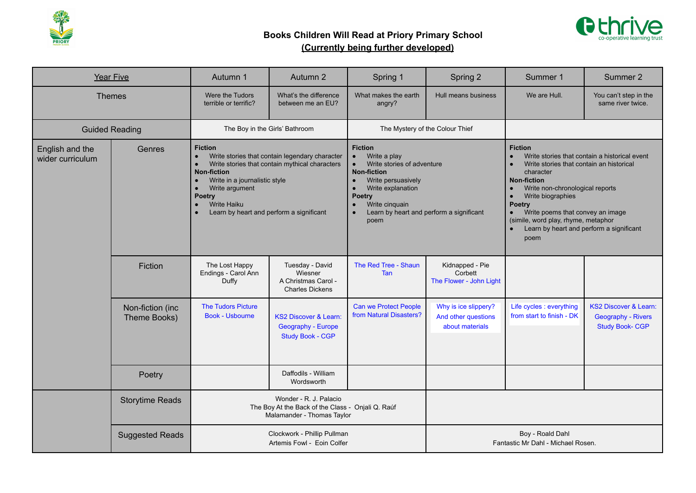



| <b>Year Five</b>                    |                                                                                                                                                                                                                                                                                                                                                           | Autumn 1                                                                                                  | Autumn 2                                                                          | Spring 1                                                                                                                                                                                                                                                                 | Spring 2                                                       | Summer 1                                                                                                                                                                                                                                                                                                                                               | Summer 2                                                                        |
|-------------------------------------|-----------------------------------------------------------------------------------------------------------------------------------------------------------------------------------------------------------------------------------------------------------------------------------------------------------------------------------------------------------|-----------------------------------------------------------------------------------------------------------|-----------------------------------------------------------------------------------|--------------------------------------------------------------------------------------------------------------------------------------------------------------------------------------------------------------------------------------------------------------------------|----------------------------------------------------------------|--------------------------------------------------------------------------------------------------------------------------------------------------------------------------------------------------------------------------------------------------------------------------------------------------------------------------------------------------------|---------------------------------------------------------------------------------|
| <b>Themes</b>                       |                                                                                                                                                                                                                                                                                                                                                           | Were the Tudors<br>terrible or terrific?                                                                  | What's the difference<br>between me an EU?                                        | What makes the earth<br>angry?                                                                                                                                                                                                                                           | Hull means business                                            | We are Hull.                                                                                                                                                                                                                                                                                                                                           | You can't step in the<br>same river twice.                                      |
| <b>Guided Reading</b>               |                                                                                                                                                                                                                                                                                                                                                           | The Boy in the Girls' Bathroom                                                                            |                                                                                   | The Mystery of the Colour Thief                                                                                                                                                                                                                                          |                                                                |                                                                                                                                                                                                                                                                                                                                                        |                                                                                 |
| English and the<br>wider curriculum | <b>Fiction</b><br>Genres<br>Write stories that contain legendary character<br>$\bullet$<br>Write stories that contain mythical characters<br>$\bullet$<br><b>Non-fiction</b><br>Write in a journalistic style<br>$\bullet$<br>Write argument<br>$\bullet$<br><b>Poetry</b><br><b>Write Haiku</b><br>Learn by heart and perform a significant<br>$\bullet$ |                                                                                                           |                                                                                   | <b>Fiction</b><br>Write a play<br>$\bullet$<br>Write stories of adventure<br><b>Non-fiction</b><br>Write persuasively<br>Write explanation<br>$\bullet$<br><b>Poetry</b><br>Write cinquain<br>$\bullet$<br>Learn by heart and perform a significant<br>$\bullet$<br>poem |                                                                | <b>Fiction</b><br>Write stories that contain a historical event<br>Write stories that contain an historical<br>character<br><b>Non-fiction</b><br>Write non-chronological reports<br>Write biographies<br><b>Poetry</b><br>Write poems that convey an image<br>(simile, word play, rhyme, metaphor<br>Learn by heart and perform a significant<br>poem |                                                                                 |
|                                     | Fiction                                                                                                                                                                                                                                                                                                                                                   | The Lost Happy<br>Endings - Carol Ann<br>Duffy                                                            | Tuesday - David<br>Wiesner<br>A Christmas Carol -<br><b>Charles Dickens</b>       | The Red Tree - Shaun<br><b>Tan</b>                                                                                                                                                                                                                                       | Kidnapped - Pie<br>Corbett<br>The Flower - John Light          |                                                                                                                                                                                                                                                                                                                                                        |                                                                                 |
|                                     | Non-fiction (inc<br>Theme Books)                                                                                                                                                                                                                                                                                                                          | <b>The Tudors Picture</b><br><b>Book - Usbourne</b>                                                       | <b>KS2 Discover &amp; Learn:</b><br>Geography - Europe<br><b>Study Book - CGP</b> | <b>Can we Protect People</b><br>from Natural Disasters?                                                                                                                                                                                                                  | Why is ice slippery?<br>And other questions<br>about materials | Life cycles : everything<br>from start to finish - DK                                                                                                                                                                                                                                                                                                  | <b>KS2 Discover &amp; Learn:</b><br>Geography - Rivers<br><b>Study Book-CGP</b> |
|                                     | Poetry                                                                                                                                                                                                                                                                                                                                                    |                                                                                                           | Daffodils - William<br>Wordsworth                                                 |                                                                                                                                                                                                                                                                          |                                                                |                                                                                                                                                                                                                                                                                                                                                        |                                                                                 |
|                                     | <b>Storytime Reads</b>                                                                                                                                                                                                                                                                                                                                    | Wonder - R. J. Palacio<br>The Boy At the Back of the Class - Onjali Q. Raúf<br>Malamander - Thomas Taylor |                                                                                   |                                                                                                                                                                                                                                                                          |                                                                |                                                                                                                                                                                                                                                                                                                                                        |                                                                                 |
|                                     | <b>Suggested Reads</b>                                                                                                                                                                                                                                                                                                                                    |                                                                                                           | Clockwork - Phillip Pullman<br>Artemis Fowl - Eoin Colfer                         | Boy - Roald Dahl<br>Fantastic Mr Dahl - Michael Rosen.                                                                                                                                                                                                                   |                                                                |                                                                                                                                                                                                                                                                                                                                                        |                                                                                 |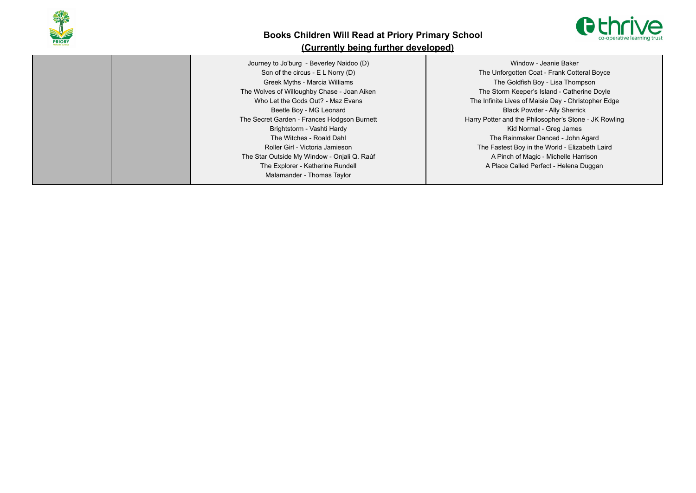



Journey to Jo'burg - Beverley Naidoo (D) Son of the circus - E L Norry (D) Greek Myths - Marcia Williams The Wolves of Willoughby Chase - Joan Aiken Who Let the Gods Out? - Maz Evans Beetle Boy - MG Leonard The Secret Garden - Frances Hodgson Burnett Brightstorm - Vashti Hardy The Witches - Roald Dahl Roller Girl - Victoria Jamieson The Star Outside My Window - Onjali Q. Raúf The Explorer - Katherine Rundell Malamander - Thomas Taylor Window - Jeanie Baker The Unforgotten Coat - Frank Cotteral Boyce The Goldfish Boy - Lisa Thompson The Storm Keeper's Island - Catherine Doyle The Infinite Lives of Maisie Day - Christopher Edge Black Powder - Ally Sherrick Harry Potter and the Philosopher's Stone - JK Rowling Kid Normal - Greg James The Rainmaker Danced - John Agard The Fastest Boy in the World - Elizabeth Laird A Pinch of Magic - Michelle Harrison A Place Called Perfect - Helena Duggan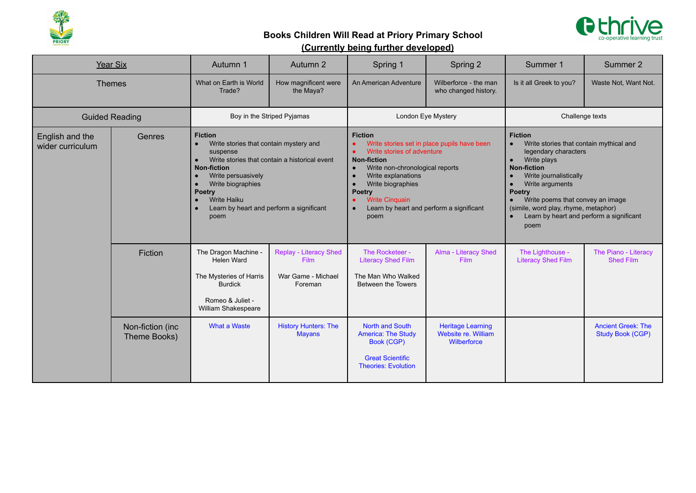



| Year Six                            |                                  | Autumn 1                                                                                                                                                                                                                                                                                                                                           | Autumn 2                                                               | Spring 1                                                                                                                                                                                                                                                                                                                      | Spring 2                                                       | Summer 1                                                                                                                                                                                                                                                                                                             | Summer 2                                             |
|-------------------------------------|----------------------------------|----------------------------------------------------------------------------------------------------------------------------------------------------------------------------------------------------------------------------------------------------------------------------------------------------------------------------------------------------|------------------------------------------------------------------------|-------------------------------------------------------------------------------------------------------------------------------------------------------------------------------------------------------------------------------------------------------------------------------------------------------------------------------|----------------------------------------------------------------|----------------------------------------------------------------------------------------------------------------------------------------------------------------------------------------------------------------------------------------------------------------------------------------------------------------------|------------------------------------------------------|
| <b>Themes</b>                       |                                  | What on Earth is World<br>Trade?                                                                                                                                                                                                                                                                                                                   | How magnificent were<br>the Maya?                                      | An American Adventure                                                                                                                                                                                                                                                                                                         | Wilberforce - the man<br>who changed history.                  | Is it all Greek to you?                                                                                                                                                                                                                                                                                              | Waste Not, Want Not.                                 |
| <b>Guided Reading</b>               |                                  |                                                                                                                                                                                                                                                                                                                                                    | Boy in the Striped Pyjamas                                             |                                                                                                                                                                                                                                                                                                                               | London Eye Mystery                                             | Challenge texts                                                                                                                                                                                                                                                                                                      |                                                      |
| English and the<br>wider curriculum | Genres                           | <b>Fiction</b><br>Write stories that contain mystery and<br>$\bullet$<br>suspense<br>Write stories that contain a historical event<br>$\bullet$<br><b>Non-fiction</b><br>Write persuasively<br>$\bullet$<br>Write biographies<br>$\bullet$<br><b>Poetry</b><br><b>Write Haiku</b><br>$\bullet$<br>Learn by heart and perform a significant<br>poem |                                                                        | <b>Fiction</b><br>Write stories set in place pupils have been<br>Write stories of adventure<br><b>Non-fiction</b><br>Write non-chronological reports<br>$\bullet$<br>Write explanations<br>$\bullet$<br>Write biographies<br>$\bullet$<br>Poetry<br><b>Write Cinquain</b><br>Learn by heart and perform a significant<br>poem |                                                                | <b>Fiction</b><br>Write stories that contain mythical and<br>legendary characters<br>Write plays<br><b>Non-fiction</b><br>Write journalistically<br>Write arguments<br><b>Poetry</b><br>Write poems that convey an image<br>(simile, word play, rhyme, metaphor)<br>Learn by heart and perform a significant<br>poem |                                                      |
|                                     | Fiction                          | The Dragon Machine<br>Helen Ward<br>The Mysteries of Harris<br><b>Burdick</b><br>Romeo & Juliet -<br>William Shakespeare                                                                                                                                                                                                                           | <b>Replay - Literacy Shed</b><br>Film<br>War Game - Michael<br>Foreman | The Rocketeer -<br><b>Literacy Shed Film</b><br>The Man Who Walked<br>Between the Towers                                                                                                                                                                                                                                      | Alma - Literacy Shed<br>Film                                   | The Lighthouse -<br><b>Literacy Shed Film</b>                                                                                                                                                                                                                                                                        | The Piano - Literacy<br><b>Shed Film</b>             |
|                                     | Non-fiction (inc<br>Theme Books) | <b>What a Waste</b>                                                                                                                                                                                                                                                                                                                                | <b>History Hunters: The</b><br><b>Mayans</b>                           | <b>North and South</b><br><b>America: The Study</b><br><b>Book (CGP)</b><br><b>Great Scientific</b><br><b>Theories: Evolution</b>                                                                                                                                                                                             | <b>Heritage Learning</b><br>Website re. William<br>Wilberforce |                                                                                                                                                                                                                                                                                                                      | <b>Ancient Greek: The</b><br><b>Study Book (CGP)</b> |